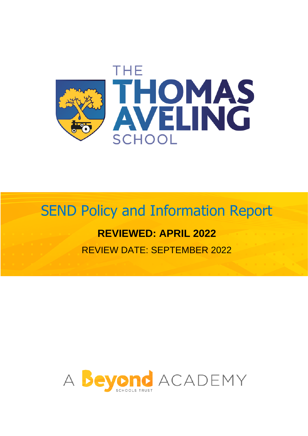

# SEND Policy and Information Report

# **REVIEWED: APRIL 2022**

REVIEW DATE: SEPTEMBER 2022

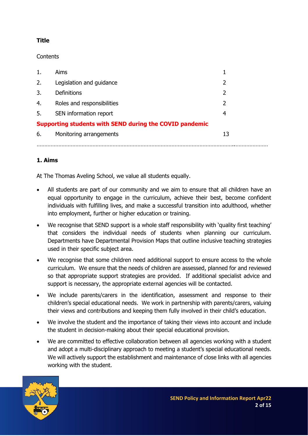# **Title**

**Contents** 

| 1.                                                      | <b>Aims</b>                |    |
|---------------------------------------------------------|----------------------------|----|
| 2.                                                      | Legislation and guidance   |    |
| 3.                                                      | <b>Definitions</b>         | 2  |
| 4.                                                      | Roles and responsibilities | 2  |
| 5.                                                      | SEN information report     | 4  |
| Supporting students with SEND during the COVID pandemic |                            |    |
| 6.                                                      | Monitoring arrangements    | 13 |
|                                                         |                            |    |

# **1. Aims**

At The Thomas Aveling School, we value all students equally.

- All students are part of our community and we aim to ensure that all children have an equal opportunity to engage in the curriculum, achieve their best, become confident individuals with fulfilling lives, and make a successful transition into adulthood, whether into employment, further or higher education or training.
- We recognise that SEND support is a whole staff responsibility with 'quality first teaching' that considers the individual needs of students when planning our curriculum. Departments have Departmental Provision Maps that outline inclusive teaching strategies used in their specific subject area.
- We recognise that some children need additional support to ensure access to the whole curriculum. We ensure that the needs of children are assessed, planned for and reviewed so that appropriate support strategies are provided. If additional specialist advice and support is necessary, the appropriate external agencies will be contacted.
- We include parents/carers in the identification, assessment and response to their children's special educational needs. We work in partnership with parents/carers, valuing their views and contributions and keeping them fully involved in their child's education.
- We involve the student and the importance of taking their views into account and include the student in decision-making about their special educational provision.
- We are committed to effective collaboration between all agencies working with a student and adopt a multi-disciplinary approach to meeting a student's special educational needs. We will actively support the establishment and maintenance of close links with all agencies working with the student.

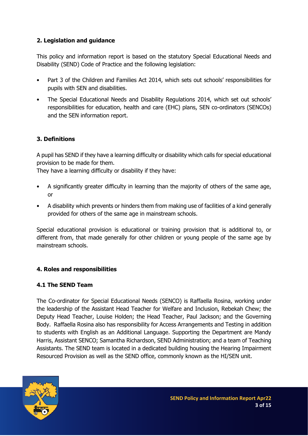# **2. Legislation and guidance**

This policy and information report is based on the statutory Special Educational Needs and Disability (SEND) Code of Practice and the following legislation:

- Part 3 of the Children and Families Act 2014, which sets out schools' responsibilities for pupils with SEN and disabilities.
- The Special Educational Needs and Disability Regulations 2014, which set out schools' responsibilities for education, health and care (EHC) plans, SEN co-ordinators (SENCOs) and the SEN information report.

# **3. Definitions**

A pupil has SEND if they have a learning difficulty or disability which calls for special educational provision to be made for them.

They have a learning difficulty or disability if they have:

- A significantly greater difficulty in learning than the majority of others of the same age, or
- A disability which prevents or hinders them from making use of facilities of a kind generally provided for others of the same age in mainstream schools.

Special educational provision is educational or training provision that is additional to, or different from, that made generally for other children or young people of the same age by mainstream schools.

#### **4. Roles and responsibilities**

#### **4.1 The SEND Team**

The Co-ordinator for Special Educational Needs (SENCO) is Raffaella Rosina, working under the leadership of the Assistant Head Teacher for Welfare and Inclusion, Rebekah Chew; the Deputy Head Teacher, Louise Holden; the Head Teacher, Paul Jackson; and the Governing Body. Raffaella Rosina also has responsibility for Access Arrangements and Testing in addition to students with English as an Additional Language. Supporting the Department are Mandy Harris, Assistant SENCO; Samantha Richardson, SEND Administration; and a team of Teaching Assistants. The SEND team is located in a dedicated building housing the Hearing Impairment Resourced Provision as well as the SEND office, commonly known as the HI/SEN unit.

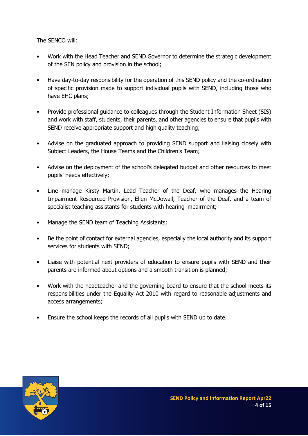The SENCO will:

- Work with the Head Teacher and SEND Governor to determine the strategic development of the SEN policy and provision in the school;
- Have day-to-day responsibility for the operation of this SEND policy and the co-ordination of specific provision made to support individual pupils with SEND, including those who have EHC plans;
- Provide professional guidance to colleagues through the Student Information Sheet (SIS) and work with staff, students, their parents, and other agencies to ensure that pupils with SEND receive appropriate support and high quality teaching;
- Advise on the graduated approach to providing SEND support and liaising closely with Subject Leaders, the House Teams and the Children's Team;
- Advise on the deployment of the school's delegated budget and other resources to meet pupils' needs effectively;
- Line manage Kirsty Martin, Lead Teacher of the Deaf, who manages the Hearing Impairment Resourced Provision, Ellen McDowall, Teacher of the Deaf, and a team of specialist teaching assistants for students with hearing impairment;
- Manage the SEND team of Teaching Assistants;
- Be the point of contact for external agencies, especially the local authority and its support services for students with SEND;
- Liaise with potential next providers of education to ensure pupils with SEND and their parents are informed about options and a smooth transition is planned;
- Work with the headteacher and the governing board to ensure that the school meets its responsibilities under the Equality Act 2010 with regard to reasonable adjustments and access arrangements;
- Ensure the school keeps the records of all pupils with SEND up to date.

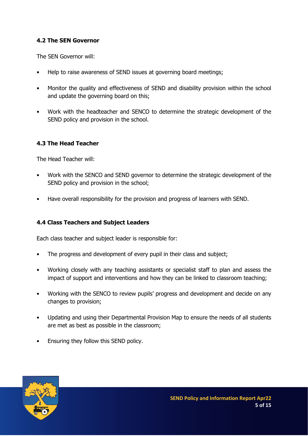#### **4.2 The SEN Governor**

The SEN Governor will:

- Help to raise awareness of SEND issues at governing board meetings;
- Monitor the quality and effectiveness of SEND and disability provision within the school and update the governing board on this;
- Work with the headteacher and SENCO to determine the strategic development of the SEND policy and provision in the school.

#### **4.3 The Head Teacher**

The Head Teacher will:

- Work with the SENCO and SEND governor to determine the strategic development of the SEND policy and provision in the school;
- Have overall responsibility for the provision and progress of learners with SEND.

#### **4.4 Class Teachers and Subject Leaders**

Each class teacher and subject leader is responsible for:

- The progress and development of every pupil in their class and subject;
- Working closely with any teaching assistants or specialist staff to plan and assess the impact of support and interventions and how they can be linked to classroom teaching;
- Working with the SENCO to review pupils' progress and development and decide on any changes to provision;
- Updating and using their Departmental Provision Map to ensure the needs of all students are met as best as possible in the classroom;
- Ensuring they follow this SEND policy.

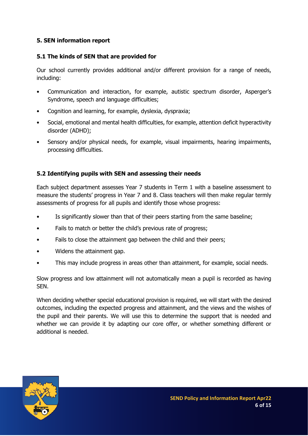#### **5. SEN information report**

#### **5.1 The kinds of SEN that are provided for**

Our school currently provides additional and/or different provision for a range of needs, including:

- Communication and interaction, for example, autistic spectrum disorder, Asperger's Syndrome, speech and language difficulties;
- Cognition and learning, for example, dyslexia, dyspraxia;
- Social, emotional and mental health difficulties, for example, attention deficit hyperactivity disorder (ADHD);
- Sensory and/or physical needs, for example, visual impairments, hearing impairments, processing difficulties.

# **5.2 Identifying pupils with SEN and assessing their needs**

Each subject department assesses Year 7 students in Term 1 with a baseline assessment to measure the students' progress in Year 7 and 8. Class teachers will then make regular termly assessments of progress for all pupils and identify those whose progress:

- Is significantly slower than that of their peers starting from the same baseline;
- Fails to match or better the child's previous rate of progress;
- Fails to close the attainment gap between the child and their peers;
- Widens the attainment gap.
- This may include progress in areas other than attainment, for example, social needs.

Slow progress and low attainment will not automatically mean a pupil is recorded as having SEN.

When deciding whether special educational provision is required, we will start with the desired outcomes, including the expected progress and attainment, and the views and the wishes of the pupil and their parents. We will use this to determine the support that is needed and whether we can provide it by adapting our core offer, or whether something different or additional is needed.

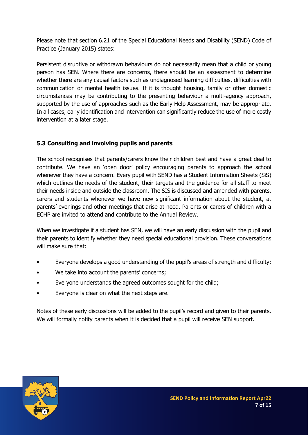Please note that section 6.21 of the Special Educational Needs and Disability (SEND) Code of Practice (January 2015) states:

Persistent disruptive or withdrawn behaviours do not necessarily mean that a child or young person has SEN. Where there are concerns, there should be an assessment to determine whether there are any causal factors such as undiagnosed learning difficulties, difficulties with communication or mental health issues. If it is thought housing, family or other domestic circumstances may be contributing to the presenting behaviour a multi-agency approach, supported by the use of approaches such as the Early Help Assessment, may be appropriate. In all cases, early identification and intervention can significantly reduce the use of more costly intervention at a later stage.

# **5.3 Consulting and involving pupils and parents**

The school recognises that parents/carers know their children best and have a great deal to contribute. We have an 'open door' policy encouraging parents to approach the school whenever they have a concern. Every pupil with SEND has a Student Information Sheets (SiS) which outlines the needs of the student, their targets and the guidance for all staff to meet their needs inside and outside the classroom. The SIS is discussed and amended with parents, carers and students whenever we have new significant information about the student, at parents' evenings and other meetings that arise at need. Parents or carers of children with a ECHP are invited to attend and contribute to the Annual Review.

When we investigate if a student has SEN, we will have an early discussion with the pupil and their parents to identify whether they need special educational provision. These conversations will make sure that:

- Everyone develops a good understanding of the pupil's areas of strength and difficulty;
- We take into account the parents' concerns;
- Everyone understands the agreed outcomes sought for the child;
- Everyone is clear on what the next steps are.

Notes of these early discussions will be added to the pupil's record and given to their parents. We will formally notify parents when it is decided that a pupil will receive SEN support.

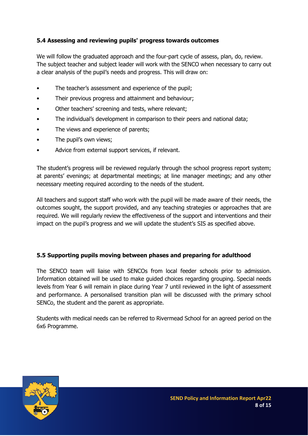# **5.4 Assessing and reviewing pupils' progress towards outcomes**

We will follow the graduated approach and the four-part cycle of assess, plan, do, review. The subject teacher and subject leader will work with the SENCO when necessary to carry out a clear analysis of the pupil's needs and progress. This will draw on:

- The teacher's assessment and experience of the pupil;
- Their previous progress and attainment and behaviour;
- Other teachers' screening and tests, where relevant;
- The individual's development in comparison to their peers and national data;
- The views and experience of parents;
- The pupil's own views;
- Advice from external support services, if relevant.

The student's progress will be reviewed regularly through the school progress report system; at parents' evenings; at departmental meetings; at line manager meetings; and any other necessary meeting required according to the needs of the student.

All teachers and support staff who work with the pupil will be made aware of their needs, the outcomes sought, the support provided, and any teaching strategies or approaches that are required. We will regularly review the effectiveness of the support and interventions and their impact on the pupil's progress and we will update the student's SIS as specified above.

#### **5.5 Supporting pupils moving between phases and preparing for adulthood**

The SENCO team will liaise with SENCOs from local feeder schools prior to admission. Information obtained will be used to make guided choices regarding grouping. Special needs levels from Year 6 will remain in place during Year 7 until reviewed in the light of assessment and performance. A personalised transition plan will be discussed with the primary school SENCo, the student and the parent as appropriate.

Students with medical needs can be referred to Rivermead School for an agreed period on the 6x6 Programme.

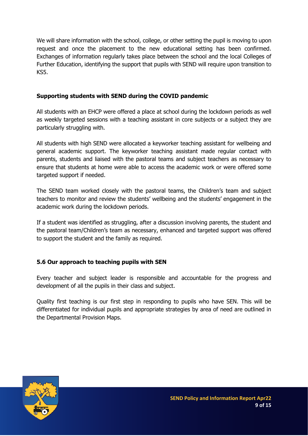We will share information with the school, college, or other setting the pupil is moving to upon request and once the placement to the new educational setting has been confirmed. Exchanges of information regularly takes place between the school and the local Colleges of Further Education, identifying the support that pupils with SEND will require upon transition to KS5.

## **Supporting students with SEND during the COVID pandemic**

All students with an EHCP were offered a place at school during the lockdown periods as well as weekly targeted sessions with a teaching assistant in core subjects or a subject they are particularly struggling with.

All students with high SEND were allocated a keyworker teaching assistant for wellbeing and general academic support. The keyworker teaching assistant made regular contact with parents, students and liaised with the pastoral teams and subject teachers as necessary to ensure that students at home were able to access the academic work or were offered some targeted support if needed.

The SEND team worked closely with the pastoral teams, the Children's team and subject teachers to monitor and review the students' wellbeing and the students' engagement in the academic work during the lockdown periods.

If a student was identified as struggling, after a discussion involving parents, the student and the pastoral team/Children's team as necessary, enhanced and targeted support was offered to support the student and the family as required.

# **5.6 Our approach to teaching pupils with SEN**

Every teacher and subject leader is responsible and accountable for the progress and development of all the pupils in their class and subject.

Quality first teaching is our first step in responding to pupils who have SEN. This will be differentiated for individual pupils and appropriate strategies by area of need are outlined in the Departmental Provision Maps.

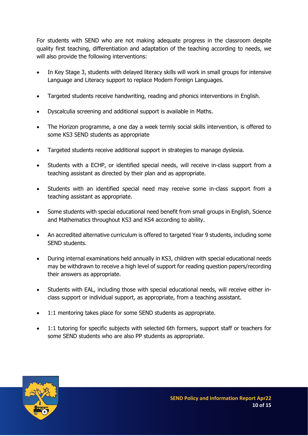For students with SEND who are not making adequate progress in the classroom despite quality first teaching, differentiation and adaptation of the teaching according to needs, we will also provide the following interventions:

- In Key Stage 3, students with delayed literacy skills will work in small groups for intensive Language and Literacy support to replace Modern Foreign Languages.
- Targeted students receive handwriting, reading and phonics interventions in English.
- Dyscalculia screening and additional support is available in Maths.
- The Horizon programme, a one day a week termly social skills intervention, is offered to some KS3 SEND students as appropriate
- Targeted students receive additional support in strategies to manage dyslexia.
- Students with a ECHP, or identified special needs, will receive in-class support from a teaching assistant as directed by their plan and as appropriate.
- Students with an identified special need may receive some in-class support from a teaching assistant as appropriate.
- Some students with special educational need benefit from small groups in English, Science and Mathematics throughout KS3 and KS4 according to ability.
- An accredited alternative curriculum is offered to targeted Year 9 students, including some SEND students.
- During internal examinations held annually in KS3, children with special educational needs may be withdrawn to receive a high level of support for reading question papers/recording their answers as appropriate.
- Students with EAL, including those with special educational needs, will receive either inclass support or individual support, as appropriate, from a teaching assistant.
- 1:1 mentoring takes place for some SEND students as appropriate.
- 1:1 tutoring for specific subjects with selected 6th formers, support staff or teachers for some SEND students who are also PP students as appropriate.

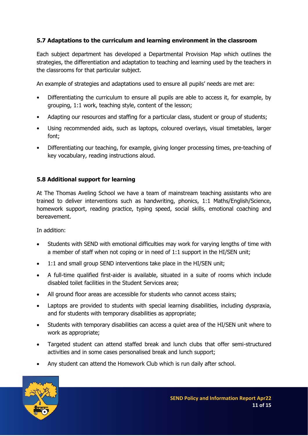# **5.7 Adaptations to the curriculum and learning environment in the classroom**

Each subject department has developed a Departmental Provision Map which outlines the strategies, the differentiation and adaptation to teaching and learning used by the teachers in the classrooms for that particular subject.

An example of strategies and adaptations used to ensure all pupils' needs are met are:

- Differentiating the curriculum to ensure all pupils are able to access it, for example, by grouping, 1:1 work, teaching style, content of the lesson;
- Adapting our resources and staffing for a particular class, student or group of students;
- Using recommended aids, such as laptops, coloured overlays, visual timetables, larger font;
- Differentiating our teaching, for example, giving longer processing times, pre-teaching of key vocabulary, reading instructions aloud.

#### **5.8 Additional support for learning**

At The Thomas Aveling School we have a team of mainstream teaching assistants who are trained to deliver interventions such as handwriting, phonics, 1:1 Maths/English/Science, homework support, reading practice, typing speed, social skills, emotional coaching and bereavement.

In addition:

- Students with SEND with emotional difficulties may work for varying lengths of time with a member of staff when not coping or in need of 1:1 support in the HI/SEN unit;
- 1:1 and small group SEND interventions take place in the HI/SEN unit;
- A full-time qualified first-aider is available, situated in a suite of rooms which include disabled toilet facilities in the Student Services area;
- All ground floor areas are accessible for students who cannot access stairs;
- Laptops are provided to students with special learning disabilities, including dyspraxia, and for students with temporary disabilities as appropriate;
- Students with temporary disabilities can access a quiet area of the HI/SEN unit where to work as appropriate;
- Targeted student can attend staffed break and lunch clubs that offer semi-structured activities and in some cases personalised break and lunch support;
- Any student can attend the Homework Club which is run daily after school.

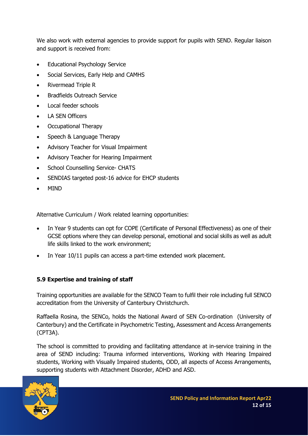We also work with external agencies to provide support for pupils with SEND. Regular liaison and support is received from:

- Educational Psychology Service
- Social Services, Early Help and CAMHS
- Rivermead Triple R
- Bradfields Outreach Service
- Local feeder schools
- LA SEN Officers
- Occupational Therapy
- Speech & Language Therapy
- Advisory Teacher for Visual Impairment
- Advisory Teacher for Hearing Impairment
- School Counselling Service- CHATS
- SENDIAS targeted post-16 advice for EHCP students
- MIND

Alternative Curriculum / Work related learning opportunities:

- In Year 9 students can opt for COPE (Certificate of Personal Effectiveness) as one of their GCSE options where they can develop personal, emotional and social skills as well as adult life skills linked to the work environment;
- In Year 10/11 pupils can access a part-time extended work placement.

#### **5.9 Expertise and training of staff**

Training opportunities are available for the SENCO Team to fulfil their role including full SENCO accreditation from the University of Canterbury Christchurch.

Raffaella Rosina, the SENCo, holds the National Award of SEN Co-ordination (University of Canterbury) and the Certificate in Psychometric Testing, Assessment and Access Arrangements (CPT3A).

The school is committed to providing and facilitating attendance at in-service training in the area of SEND including: Trauma informed interventions, Working with Hearing Impaired students, Working with Visually Impaired students, ODD, all aspects of Access Arrangements, supporting students with Attachment Disorder, ADHD and ASD.

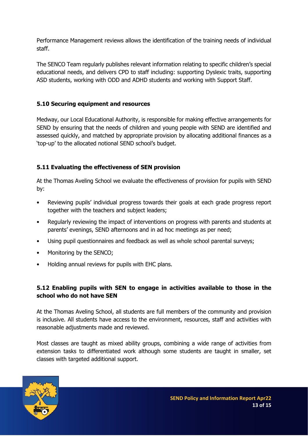Performance Management reviews allows the identification of the training needs of individual staff.

The SENCO Team regularly publishes relevant information relating to specific children's special educational needs, and delivers CPD to staff including: supporting Dyslexic traits, supporting ASD students, working with ODD and ADHD students and working with Support Staff.

# **5.10 Securing equipment and resources**

Medway, our Local Educational Authority, is responsible for making effective arrangements for SEND by ensuring that the needs of children and young people with SEND are identified and assessed quickly, and matched by appropriate provision by allocating additional finances as a 'top-up' to the allocated notional SEND school's budget.

# **5.11 Evaluating the effectiveness of SEN provision**

At the Thomas Aveling School we evaluate the effectiveness of provision for pupils with SEND by:

- Reviewing pupils' individual progress towards their goals at each grade progress report together with the teachers and subject leaders;
- Regularly reviewing the impact of interventions on progress with parents and students at parents' evenings, SEND afternoons and in ad hoc meetings as per need;
- Using pupil questionnaires and feedback as well as whole school parental surveys;
- Monitoring by the SENCO;
- Holding annual reviews for pupils with EHC plans.

# **5.12 Enabling pupils with SEN to engage in activities available to those in the school who do not have SEN**

At the Thomas Aveling School, all students are full members of the community and provision is inclusive. All students have access to the environment, resources, staff and activities with reasonable adjustments made and reviewed.

Most classes are taught as mixed ability groups, combining a wide range of activities from extension tasks to differentiated work although some students are taught in smaller, set classes with targeted additional support.

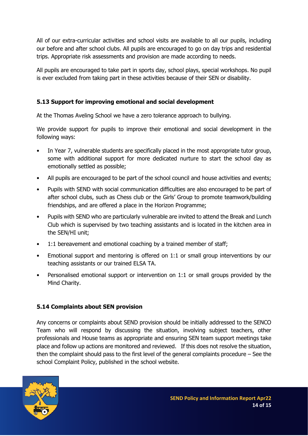All of our extra-curricular activities and school visits are available to all our pupils, including our before and after school clubs. All pupils are encouraged to go on day trips and residential trips. Appropriate risk assessments and provision are made according to needs.

All pupils are encouraged to take part in sports day, school plays, special workshops. No pupil is ever excluded from taking part in these activities because of their SEN or disability.

# **5.13 Support for improving emotional and social development**

At the Thomas Aveling School we have a zero tolerance approach to bullying.

We provide support for pupils to improve their emotional and social development in the following ways:

- In Year 7, vulnerable students are specifically placed in the most appropriate tutor group, some with additional support for more dedicated nurture to start the school day as emotionally settled as possible;
- All pupils are encouraged to be part of the school council and house activities and events;
- Pupils with SEND with social communication difficulties are also encouraged to be part of after school clubs, such as Chess club or the Girls' Group to promote teamwork/building friendships, and are offered a place in the Horizon Programme;
- Pupils with SEND who are particularly vulnerable are invited to attend the Break and Lunch Club which is supervised by two teaching assistants and is located in the kitchen area in the SEN/HI unit;
- 1:1 bereavement and emotional coaching by a trained member of staff;
- Emotional support and mentoring is offered on 1:1 or small group interventions by our teaching assistants or our trained ELSA TA.
- Personalised emotional support or intervention on 1:1 or small groups provided by the Mind Charity.

# **5.14 Complaints about SEN provision**

Any concerns or complaints about SEND provision should be initially addressed to the SENCO Team who will respond by discussing the situation, involving subject teachers, other professionals and House teams as appropriate and ensuring SEN team support meetings take place and follow up actions are monitored and reviewed. If this does not resolve the situation, then the complaint should pass to the first level of the general complaints procedure – See the school Complaint Policy, published in the school website.